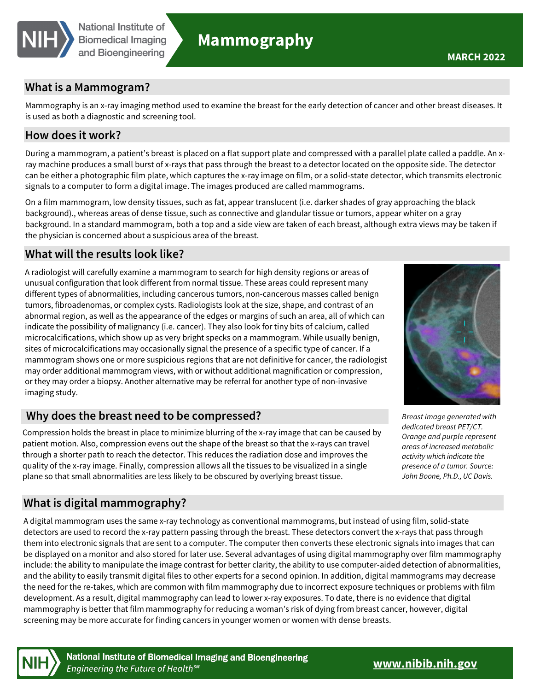

# **Mammography**

## **What is a Mammogram?**

Mammography is an x-ray imaging method used to examine the breast for the early detection of cancer and other breast diseases. It is used as both a diagnostic and screening tool.

## **How does it work?**

During a mammogram, a patient's breast is placed on a flat support plate and compressed with a parallel plate called a paddle. An xray machine produces a small burst of x-rays that pass through the breast to a detector located on the opposite side. The detector can be either a photographic film plate, which captures the x-ray image on film, or a solid-state detector, which transmits electronic signals to a computer to form a digital image. The images produced are called mammograms.

On a film mammogram, low density tissues, such as fat, appear translucent (i.e. darker shades of gray approaching the black background)., whereas areas of dense tissue, such as connective and glandular tissue or tumors, appear whiter on a gray background. In a standard mammogram, both a top and a side view are taken of each breast, although extra views may be taken if the physician is concerned about a suspicious area of the breast.

## **What will the results look like?**

A radiologist will carefully examine a mammogram to search for high density regions or areas of unusual configuration that look different from normal tissue. These areas could represent many different types of abnormalities, including cancerous tumors, non-cancerous masses called benign tumors, fibroadenomas, or complex cysts. Radiologists look at the size, shape, and contrast of an abnormal region, as well as the appearance of the edges or margins of such an area, all of which can indicate the possibility of malignancy (i.e. cancer). They also look for tiny bits of calcium, called microcalcifications, which show up as very bright specks on a mammogram. While usually benign, sites of microcalcifications may occasionally signal the presence of a specific type of cancer. If a mammogram shows one or more suspicious regions that are not definitive for cancer, the radiologist may order additional mammogram views, with or without additional magnification or compression, or they may order a biopsy. Another alternative may be referral for another type of non-invasive imaging study.

# **Why does the breast need to be compressed?**

Compression holds the breast in place to minimize blurring of the x-ray image that can be caused by patient motion. Also, compression evens out the shape of the breast so that the x-rays can travel through a shorter path to reach the detector. This reduces the radiation dose and improves the quality of the x-ray image. Finally, compression allows all the tissues to be visualized in a single plane so that small abnormalities are less likely to be obscured by overlying breast tissue.

# **What is digital mammography?**

A digital mammogram uses the same x-ray technology as conventional mammograms, but instead of using film, solid-state detectors are used to record the x-ray pattern passing through the breast. These detectors convert the x-rays that pass through them into electronic signals that are sent to a computer. The computer then converts these electronic signals into images that can be displayed on a monitor and also stored for later use. Several advantages of using digital mammography over film mammography include: the ability to manipulate the image contrast for better clarity, the ability to use computer-aided detection of abnormalities, and the ability to easily transmit digital files to other experts for a second opinion. In addition, digital mammograms may decrease the need for the re-takes, which are common with film mammography due to incorrect exposure techniques or problems with film development. As a result, digital mammography can lead to lower x-ray exposures. To date, there is no evidence that digital mammography is better that film mammography for reducing a woman's risk of dying from breast cancer, however, digital screening may be more accurate for finding cancers in younger women or women with dense breasts.



*Breast image generated with dedicated breast PET/CT. Orange and purple represent areas of increased metabolic activity which indicate the presence of a tumor. Source: John Boone, Ph.D., UC Davis.*